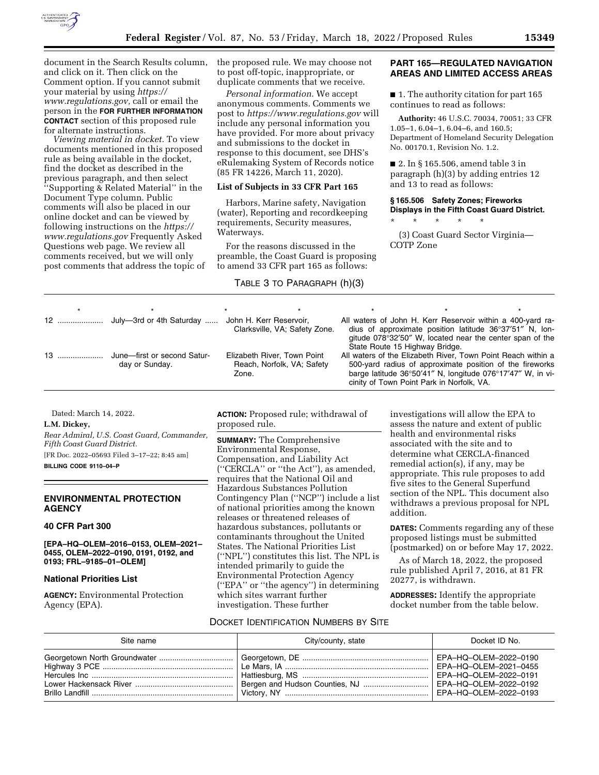

document in the Search Results column, and click on it. Then click on the Comment option. If you cannot submit your material by using *[https://](https://www.regulations.gov) [www.regulations.gov,](https://www.regulations.gov)* call or email the person in the **FOR FURTHER INFORMATION CONTACT** section of this proposed rule for alternate instructions.

*Viewing material in docket.* To view documents mentioned in this proposed rule as being available in the docket, find the docket as described in the previous paragraph, and then select ''Supporting & Related Material'' in the Document Type column. Public comments will also be placed in our online docket and can be viewed by following instructions on the *[https://](https://www.regulations.gov) [www.regulations.gov](https://www.regulations.gov)* Frequently Asked Questions web page. We review all comments received, but we will only post comments that address the topic of the proposed rule. We may choose not to post off-topic, inappropriate, or duplicate comments that we receive.

*Personal information.* We accept anonymous comments. Comments we post to *<https://www.regulations.gov>*will include any personal information you have provided. For more about privacy and submissions to the docket in response to this document, see DHS's eRulemaking System of Records notice (85 FR 14226, March 11, 2020).

#### **List of Subjects in 33 CFR Part 165**

Harbors, Marine safety, Navigation (water), Reporting and recordkeeping requirements, Security measures, Waterways.

For the reasons discussed in the preamble, the Coast Guard is proposing to amend 33 CFR part 165 as follows:

## TABLE 3 TO PARAGRAPH (h)(3)

# **PART 165—REGULATED NAVIGATION AREAS AND LIMITED ACCESS AREAS**

■ 1. The authority citation for part 165 continues to read as follows:

**Authority:** 46 U.S.C. 70034, 70051; 33 CFR 1.05–1, 6.04–1, 6.04–6, and 160.5; Department of Homeland Security Delegation No. 00170.1, Revision No. 1.2.

■ 2. In § 165.506, amend table 3 in paragraph (h)(3) by adding entries 12 and 13 to read as follows:

# **§ 165.506 Safety Zones; Fireworks Displays in the Fifth Coast Guard District.**

\* \* \* \* \* (3) Coast Guard Sector Virginia— COTP Zone

| 12  July-3rd or 4th Saturday  John H. Kerr Reservoir, | Clarksville, VA; Safety Zone.                                      | State Route 15 Highway Bridge. | All waters of John H. Kerr Reservoir within a 400-yard ra-<br>dius of approximate position latitude $36^{\circ}37'51''$ N, lon-<br>gitude 078°32'50" W, located near the center span of the                                         |  |
|-------------------------------------------------------|--------------------------------------------------------------------|--------------------------------|-------------------------------------------------------------------------------------------------------------------------------------------------------------------------------------------------------------------------------------|--|
| June-first or second Satur-<br>day or Sunday.         | Elizabeth River, Town Point<br>Reach, Norfolk, VA; Safety<br>Zone. |                                | All waters of the Elizabeth River, Town Point Reach within a<br>500-yard radius of approximate position of the fireworks<br>barge latitude 36°50'41" N, longitude 076°17'47" W, in vi-<br>cinity of Town Point Park in Norfolk, VA. |  |

Dated: March 14, 2022.

#### **L.M. Dickey,**

*Rear Admiral, U.S. Coast Guard, Commander, Fifth Coast Guard District.*  [FR Doc. 2022–05693 Filed 3–17–22; 8:45 am]

**BILLING CODE 9110–04–P** 

## **ENVIRONMENTAL PROTECTION AGENCY**

## **40 CFR Part 300**

**[EPA–HQ–OLEM–2016–0153, OLEM–2021– 0455, OLEM–2022–0190, 0191, 0192, and 0193; FRL–9185–01–OLEM]** 

### **National Priorities List**

**AGENCY:** Environmental Protection Agency (EPA).

**ACTION:** Proposed rule; withdrawal of proposed rule.

**SUMMARY:** The Comprehensive Environmental Response, Compensation, and Liability Act (''CERCLA'' or ''the Act''), as amended, requires that the National Oil and Hazardous Substances Pollution Contingency Plan (''NCP'') include a list of national priorities among the known releases or threatened releases of hazardous substances, pollutants or contaminants throughout the United States. The National Priorities List (''NPL'') constitutes this list. The NPL is intended primarily to guide the Environmental Protection Agency (''EPA'' or ''the agency'') in determining which sites warrant further investigation. These further

investigations will allow the EPA to assess the nature and extent of public health and environmental risks associated with the site and to determine what CERCLA-financed remedial action(s), if any, may be appropriate. This rule proposes to add five sites to the General Superfund section of the NPL. This document also withdraws a previous proposal for NPL addition.

**DATES:** Comments regarding any of these proposed listings must be submitted (postmarked) on or before May 17, 2022.

As of March 18, 2022, the proposed rule published April 7, 2016, at 81 FR 20277, is withdrawn.

**ADDRESSES:** Identify the appropriate docket number from the table below.

#### DOCKET IDENTIFICATION NUMBERS BY SITE

| Site name | City/county, state                                      | Docket ID No.                                  |
|-----------|---------------------------------------------------------|------------------------------------------------|
|           | Bergen and Hudson Counties, NJ    EPA-HQ-OLEM-2022-0192 | EPA-HQ-OLEM-2022-0190<br>EPA-HQ-OLEM-2022-0191 |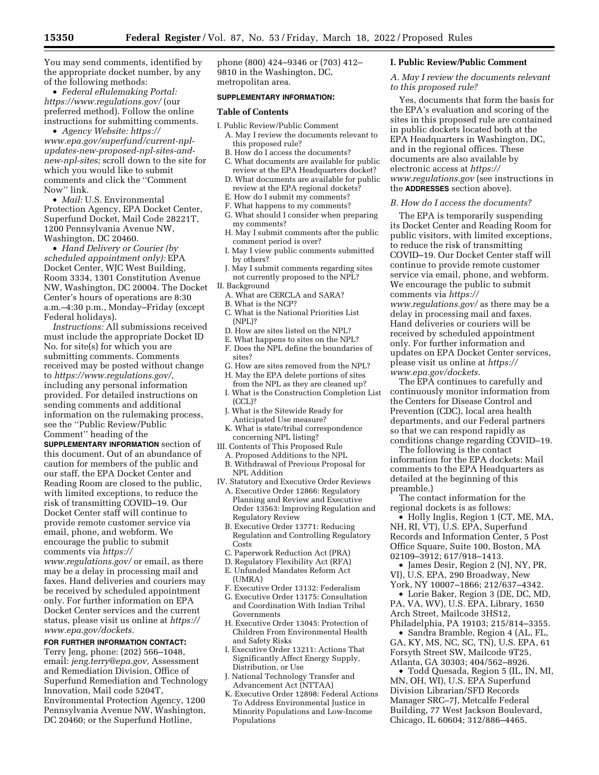You may send comments, identified by the appropriate docket number, by any of the following methods:

• *Federal eRulemaking Portal: <https://www.regulations.gov/>*(our preferred method). Follow the online instructions for submitting comments.

• *Agency Website: [https://](https://www.epa.gov/superfund/current-npl-updates-new-proposed-npl-sites-and-new-npl-sites) [www.epa.gov/superfund/current-npl](https://www.epa.gov/superfund/current-npl-updates-new-proposed-npl-sites-and-new-npl-sites)updates-new-proposed-npl-sites-and[new-npl-sites;](https://www.epa.gov/superfund/current-npl-updates-new-proposed-npl-sites-and-new-npl-sites)* scroll down to the site for which you would like to submit comments and click the ''Comment Now'' link.

• *Mail:* U.S. Environmental Protection Agency, EPA Docket Center, Superfund Docket, Mail Code 28221T, 1200 Pennsylvania Avenue NW, Washington, DC 20460.

• *Hand Delivery or Courier (by scheduled appointment only):* EPA Docket Center, WJC West Building, Room 3334, 1301 Constitution Avenue NW, Washington, DC 20004. The Docket Center's hours of operations are 8:30 a.m.–4:30 p.m., Monday–Friday (except Federal holidays).

*Instructions:* All submissions received must include the appropriate Docket ID No. for site(s) for which you are submitting comments. Comments received may be posted without change to *[https://www.regulations.gov/,](https://www.regulations.gov/)*  including any personal information provided. For detailed instructions on sending comments and additional information on the rulemaking process, see the ''Public Review/Public Comment'' heading of the

**SUPPLEMENTARY INFORMATION** section of this document. Out of an abundance of caution for members of the public and our staff, the EPA Docket Center and Reading Room are closed to the public, with limited exceptions, to reduce the risk of transmitting COVID–19. Our Docket Center staff will continue to provide remote customer service via email, phone, and webform. We encourage the public to submit comments via *[https://](https://www.regulations.gov/)*

*[www.regulations.gov/](https://www.regulations.gov/)* or email, as there may be a delay in processing mail and faxes. Hand deliveries and couriers may be received by scheduled appointment only. For further information on EPA Docket Center services and the current status, please visit us online at *[https://](https://www.epa.gov/dockets) [www.epa.gov/dockets.](https://www.epa.gov/dockets)* 

# **FOR FURTHER INFORMATION CONTACT:**

Terry Jeng, phone: (202) 566–1048, email: *[jeng.terry@epa.gov,](mailto:jeng.terry@epa.gov)* Assessment and Remediation Division, Office of Superfund Remediation and Technology Innovation, Mail code 5204T, Environmental Protection Agency, 1200 Pennsylvania Avenue NW, Washington, DC 20460; or the Superfund Hotline,

phone (800) 424–9346 or (703) 412– 9810 in the Washington, DC, metropolitan area.

### **SUPPLEMENTARY INFORMATION:**

#### **Table of Contents**

- I. Public Review/Public Comment A. May I review the documents relevant to this proposed rule?
	- B. How do I access the documents?
	- C. What documents are available for public review at the EPA Headquarters docket?
	- D. What documents are available for public review at the EPA regional dockets?
	- E. How do I submit my comments?
	- F. What happens to my comments?
	- G. What should I consider when preparing my comments?
	- H. May I submit comments after the public comment period is over?
	- I. May I view public comments submitted by others?
- J. May I submit comments regarding sites not currently proposed to the NPL?
- II. Background
- A. What are CERCLA and SARA?
- B. What is the NCP?
- C. What is the National Priorities List (NPL)?
- D. How are sites listed on the NPL?
- E. What happens to sites on the NPL?
- F. Does the NPL define the boundaries of sites?
- G. How are sites removed from the NPL?
- H. May the EPA delete portions of sites from the NPL as they are cleaned up?
- I. What is the Construction Completion List (CCL)?
- J. What is the Sitewide Ready for Anticipated Use measure?
- K. What is state/tribal correspondence concerning NPL listing?
- III. Contents of This Proposed Rule
- A. Proposed Additions to the NPL
- B. Withdrawal of Previous Proposal for NPL Addition
- IV. Statutory and Executive Order Reviews A. Executive Order 12866: Regulatory Planning and Review and Executive Order 13563: Improving Regulation and Regulatory Review
	- B. Executive Order 13771: Reducing Regulation and Controlling Regulatory Costs
	- C. Paperwork Reduction Act (PRA)
	- D. Regulatory Flexibility Act (RFA)
	- E. Unfunded Mandates Reform Act  $(UMRA)$
	- F. Executive Order 13132: Federalism
	- G. Executive Order 13175: Consultation and Coordination With Indian Tribal Governments
	- H. Executive Order 13045: Protection of Children From Environmental Health and Safety Risks
	- I. Executive Order 13211: Actions That Significantly Affect Energy Supply, Distribution, or Use
	- J. National Technology Transfer and Advancement Act (NTTAA)
	- K. Executive Order 12898: Federal Actions To Address Environmental Justice in Minority Populations and Low-Income Populations

### **I. Public Review/Public Comment**

*A. May I review the documents relevant to this proposed rule?* 

Yes, documents that form the basis for the EPA's evaluation and scoring of the sites in this proposed rule are contained in public dockets located both at the EPA Headquarters in Washington, DC, and in the regional offices. These documents are also available by electronic access at *[https://](https://www.regulations.gov) [www.regulations.gov](https://www.regulations.gov)* (see instructions in the **ADDRESSES** section above).

#### *B. How do I access the documents?*

The EPA is temporarily suspending its Docket Center and Reading Room for public visitors, with limited exceptions, to reduce the risk of transmitting COVID–19. Our Docket Center staff will continue to provide remote customer service via email, phone, and webform. We encourage the public to submit comments via *[https://](https://www.regulations.gov/)*

*[www.regulations.gov/](https://www.regulations.gov/)* as there may be a delay in processing mail and faxes. Hand deliveries or couriers will be received by scheduled appointment only. For further information and updates on EPA Docket Center services, please visit us online at *[https://](https://www.epa.gov/dockets) [www.epa.gov/dockets.](https://www.epa.gov/dockets)* 

The EPA continues to carefully and continuously monitor information from the Centers for Disease Control and Prevention (CDC), local area health departments, and our Federal partners so that we can respond rapidly as conditions change regarding COVID–19.

The following is the contact information for the EPA dockets: Mail comments to the EPA Headquarters as detailed at the beginning of this preamble.)

The contact information for the regional dockets is as follows:

• Holly Inglis, Region 1 (CT, ME, MA, NH, RI, VT), U.S. EPA, Superfund Records and Information Center, 5 Post Office Square, Suite 100, Boston, MA 02109–3912; 617/918–1413.

• James Desir, Region 2 (NJ, NY, PR, VI), U.S. EPA, 290 Broadway, New York, NY 10007–1866; 212/637–4342.

• Lorie Baker, Region 3 (DE, DC, MD, PA, VA, WV), U.S. EPA, Library, 1650 Arch Street, Mailcode 3HS12, Philadelphia, PA 19103; 215/814–3355.

• Sandra Bramble, Region 4 (AL, FL, GA, KY, MS, NC, SC, TN), U.S. EPA, 61 Forsyth Street SW, Mailcode 9T25, Atlanta, GA 30303; 404/562–8926.

• Todd Quesada, Region 5 (IL, IN, MI, MN, OH, WI), U.S. EPA Superfund Division Librarian/SFD Records Manager SRC–7J, Metcalfe Federal Building, 77 West Jackson Boulevard, Chicago, IL 60604; 312/886–4465.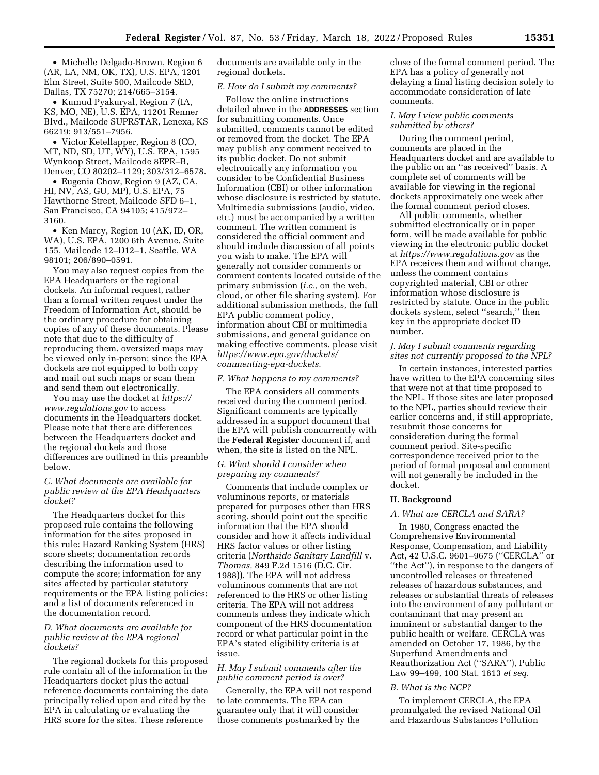• Michelle Delgado-Brown, Region 6 (AR, LA, NM, OK, TX), U.S. EPA, 1201 Elm Street, Suite 500, Mailcode SED, Dallas, TX 75270; 214/665–3154.

• Kumud Pyakuryal, Region 7 (IA, KS, MO, NE), U.S. EPA, 11201 Renner Blvd., Mailcode SUPRSTAR, Lenexa, KS 66219; 913/551–7956.

• Victor Ketellapper, Region 8 (CO, MT, ND, SD, UT, WY), U.S. EPA, 1595 Wynkoop Street, Mailcode 8EPR–B, Denver, CO 80202–1129; 303/312–6578.

• Eugenia Chow, Region 9 (AZ, CA, HI, NV, AS, GU, MP), U.S. EPA, 75 Hawthorne Street, Mailcode SFD 6–1, San Francisco, CA 94105; 415/972– 3160.

• Ken Marcy, Region 10 (AK, ID, OR, WA), U.S. EPA, 1200 6th Avenue, Suite 155, Mailcode 12–D12–1, Seattle, WA 98101; 206/890–0591.

You may also request copies from the EPA Headquarters or the regional dockets. An informal request, rather than a formal written request under the Freedom of Information Act, should be the ordinary procedure for obtaining copies of any of these documents. Please note that due to the difficulty of reproducing them, oversized maps may be viewed only in-person; since the EPA dockets are not equipped to both copy and mail out such maps or scan them and send them out electronically.

You may use the docket at *[https://](https://www.regulations.gov) [www.regulations.gov](https://www.regulations.gov)* to access documents in the Headquarters docket. Please note that there are differences between the Headquarters docket and the regional dockets and those differences are outlined in this preamble below.

## *C. What documents are available for public review at the EPA Headquarters docket?*

The Headquarters docket for this proposed rule contains the following information for the sites proposed in this rule: Hazard Ranking System (HRS) score sheets; documentation records describing the information used to compute the score; information for any sites affected by particular statutory requirements or the EPA listing policies; and a list of documents referenced in the documentation record.

## *D. What documents are available for public review at the EPA regional dockets?*

The regional dockets for this proposed rule contain all of the information in the Headquarters docket plus the actual reference documents containing the data principally relied upon and cited by the EPA in calculating or evaluating the HRS score for the sites. These reference

documents are available only in the regional dockets.

#### *E. How do I submit my comments?*

Follow the online instructions detailed above in the **ADDRESSES** section for submitting comments. Once submitted, comments cannot be edited or removed from the docket. The EPA may publish any comment received to its public docket. Do not submit electronically any information you consider to be Confidential Business Information (CBI) or other information whose disclosure is restricted by statute. Multimedia submissions (audio, video, etc.) must be accompanied by a written comment. The written comment is considered the official comment and should include discussion of all points you wish to make. The EPA will generally not consider comments or comment contents located outside of the primary submission (*i.e.,* on the web, cloud, or other file sharing system). For additional submission methods, the full EPA public comment policy, information about CBI or multimedia submissions, and general guidance on making effective comments, please visit *[https://www.epa.gov/dockets/](https://www.epa.gov/dockets/commenting-epa-dockets)  [commenting-epa-dockets.](https://www.epa.gov/dockets/commenting-epa-dockets)* 

#### *F. What happens to my comments?*

The EPA considers all comments received during the comment period. Significant comments are typically addressed in a support document that the EPA will publish concurrently with the **Federal Register** document if, and when, the site is listed on the NPL.

### *G. What should I consider when preparing my comments?*

Comments that include complex or voluminous reports, or materials prepared for purposes other than HRS scoring, should point out the specific information that the EPA should consider and how it affects individual HRS factor values or other listing criteria (*Northside Sanitary Landfill* v. *Thomas,* 849 F.2d 1516 (D.C. Cir. 1988)). The EPA will not address voluminous comments that are not referenced to the HRS or other listing criteria. The EPA will not address comments unless they indicate which component of the HRS documentation record or what particular point in the EPA's stated eligibility criteria is at issue.

## *H. May I submit comments after the public comment period is over?*

Generally, the EPA will not respond to late comments. The EPA can guarantee only that it will consider those comments postmarked by the

close of the formal comment period. The EPA has a policy of generally not delaying a final listing decision solely to accommodate consideration of late comments.

### *I. May I view public comments submitted by others?*

During the comment period, comments are placed in the Headquarters docket and are available to the public on an ''as received'' basis. A complete set of comments will be available for viewing in the regional dockets approximately one week after the formal comment period closes.

All public comments, whether submitted electronically or in paper form, will be made available for public viewing in the electronic public docket at *<https://www.regulations.gov>* as the EPA receives them and without change, unless the comment contains copyrighted material, CBI or other information whose disclosure is restricted by statute. Once in the public dockets system, select ''search,'' then key in the appropriate docket ID number.

## *J. May I submit comments regarding sites not currently proposed to the NPL?*

In certain instances, interested parties have written to the EPA concerning sites that were not at that time proposed to the NPL. If those sites are later proposed to the NPL, parties should review their earlier concerns and, if still appropriate, resubmit those concerns for consideration during the formal comment period. Site-specific correspondence received prior to the period of formal proposal and comment will not generally be included in the docket.

# **II. Background**

### *A. What are CERCLA and SARA?*

In 1980, Congress enacted the Comprehensive Environmental Response, Compensation, and Liability Act, 42 U.S.C. 9601–9675 (''CERCLA'' or ''the Act''), in response to the dangers of uncontrolled releases or threatened releases of hazardous substances, and releases or substantial threats of releases into the environment of any pollutant or contaminant that may present an imminent or substantial danger to the public health or welfare. CERCLA was amended on October 17, 1986, by the Superfund Amendments and Reauthorization Act (''SARA''), Public Law 99–499, 100 Stat. 1613 *et seq.* 

### *B. What is the NCP?*

To implement CERCLA, the EPA promulgated the revised National Oil and Hazardous Substances Pollution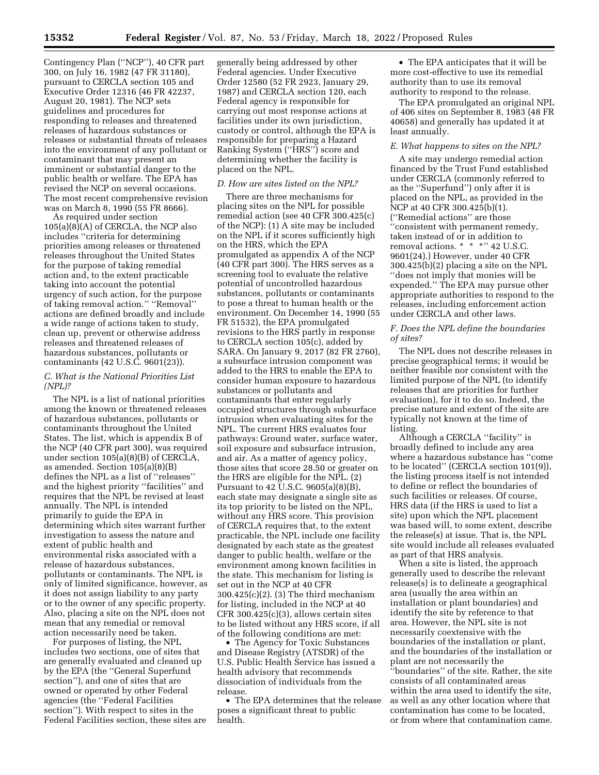Contingency Plan (''NCP''), 40 CFR part 300, on July 16, 1982 (47 FR 31180), pursuant to CERCLA section 105 and Executive Order 12316 (46 FR 42237, August 20, 1981). The NCP sets guidelines and procedures for responding to releases and threatened releases of hazardous substances or releases or substantial threats of releases into the environment of any pollutant or contaminant that may present an imminent or substantial danger to the public health or welfare. The EPA has revised the NCP on several occasions. The most recent comprehensive revision was on March 8, 1990 (55 FR 8666).

As required under section 105(a)(8)(A) of CERCLA, the NCP also includes ''criteria for determining priorities among releases or threatened releases throughout the United States for the purpose of taking remedial action and, to the extent practicable taking into account the potential urgency of such action, for the purpose of taking removal action.'' ''Removal'' actions are defined broadly and include a wide range of actions taken to study, clean up, prevent or otherwise address releases and threatened releases of hazardous substances, pollutants or contaminants (42 U.S.C. 9601(23)).

## *C. What is the National Priorities List (NPL)?*

The NPL is a list of national priorities among the known or threatened releases of hazardous substances, pollutants or contaminants throughout the United States. The list, which is appendix B of the NCP (40 CFR part 300), was required under section 105(a)(8)(B) of CERCLA, as amended. Section 105(a)(8)(B) defines the NPL as a list of ''releases'' and the highest priority ''facilities'' and requires that the NPL be revised at least annually. The NPL is intended primarily to guide the EPA in determining which sites warrant further investigation to assess the nature and extent of public health and environmental risks associated with a release of hazardous substances, pollutants or contaminants. The NPL is only of limited significance, however, as it does not assign liability to any party or to the owner of any specific property. Also, placing a site on the NPL does not mean that any remedial or removal action necessarily need be taken.

For purposes of listing, the NPL includes two sections, one of sites that are generally evaluated and cleaned up by the EPA (the ''General Superfund section''), and one of sites that are owned or operated by other Federal agencies (the ''Federal Facilities section''). With respect to sites in the Federal Facilities section, these sites are generally being addressed by other Federal agencies. Under Executive Order 12580 (52 FR 2923, January 29, 1987) and CERCLA section 120, each Federal agency is responsible for carrying out most response actions at facilities under its own jurisdiction, custody or control, although the EPA is responsible for preparing a Hazard Ranking System (''HRS'') score and determining whether the facility is placed on the NPL.

## *D. How are sites listed on the NPL?*

There are three mechanisms for placing sites on the NPL for possible remedial action (see 40 CFR 300.425(c) of the NCP): (1) A site may be included on the NPL if it scores sufficiently high on the HRS, which the EPA promulgated as appendix A of the NCP (40 CFR part 300). The HRS serves as a screening tool to evaluate the relative potential of uncontrolled hazardous substances, pollutants or contaminants to pose a threat to human health or the environment. On December 14, 1990 (55 FR 51532), the EPA promulgated revisions to the HRS partly in response to CERCLA section 105(c), added by SARA. On January 9, 2017 (82 FR 2760), a subsurface intrusion component was added to the HRS to enable the EPA to consider human exposure to hazardous substances or pollutants and contaminants that enter regularly occupied structures through subsurface intrusion when evaluating sites for the NPL. The current HRS evaluates four pathways: Ground water, surface water, soil exposure and subsurface intrusion, and air. As a matter of agency policy, those sites that score 28.50 or greater on the HRS are eligible for the NPL. (2) Pursuant to 42 U.S.C. 9605(a)(8)(B), each state may designate a single site as its top priority to be listed on the NPL, without any HRS score. This provision of CERCLA requires that, to the extent practicable, the NPL include one facility designated by each state as the greatest danger to public health, welfare or the environment among known facilities in the state. This mechanism for listing is set out in the NCP at 40 CFR 300.425(c)(2). (3) The third mechanism for listing, included in the NCP at 40 CFR 300.425(c)(3), allows certain sites to be listed without any HRS score, if all of the following conditions are met:

• The Agency for Toxic Substances and Disease Registry (ATSDR) of the U.S. Public Health Service has issued a health advisory that recommends dissociation of individuals from the release.

• The EPA determines that the release poses a significant threat to public health.

• The EPA anticipates that it will be more cost-effective to use its remedial authority than to use its removal authority to respond to the release.

The EPA promulgated an original NPL of 406 sites on September 8, 1983 (48 FR 40658) and generally has updated it at least annually.

#### *E. What happens to sites on the NPL?*

A site may undergo remedial action financed by the Trust Fund established under CERCLA (commonly referred to as the ''Superfund'') only after it is placed on the NPL, as provided in the NCP at 40 CFR 300.425(b)(1). (''Remedial actions'' are those ''consistent with permanent remedy, taken instead of or in addition to removal actions. \* \* \* \* '' 42 U.S.C. 9601(24).) However, under 40 CFR 300.425(b)(2) placing a site on the NPL ''does not imply that monies will be expended.'' The EPA may pursue other appropriate authorities to respond to the releases, including enforcement action under CERCLA and other laws.

## *F. Does the NPL define the boundaries of sites?*

The NPL does not describe releases in precise geographical terms; it would be neither feasible nor consistent with the limited purpose of the NPL (to identify releases that are priorities for further evaluation), for it to do so. Indeed, the precise nature and extent of the site are typically not known at the time of listing.

Although a CERCLA ''facility'' is broadly defined to include any area where a hazardous substance has ''come to be located'' (CERCLA section 101(9)), the listing process itself is not intended to define or reflect the boundaries of such facilities or releases. Of course, HRS data (if the HRS is used to list a site) upon which the NPL placement was based will, to some extent, describe the release(s) at issue. That is, the NPL site would include all releases evaluated as part of that HRS analysis.

When a site is listed, the approach generally used to describe the relevant release(s) is to delineate a geographical area (usually the area within an installation or plant boundaries) and identify the site by reference to that area. However, the NPL site is not necessarily coextensive with the boundaries of the installation or plant, and the boundaries of the installation or plant are not necessarily the ''boundaries'' of the site. Rather, the site consists of all contaminated areas within the area used to identify the site, as well as any other location where that contamination has come to be located, or from where that contamination came.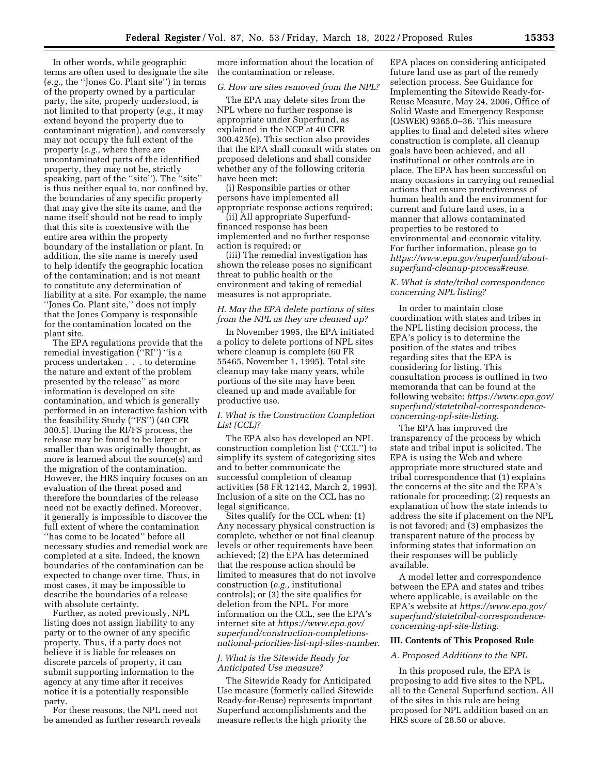In other words, while geographic terms are often used to designate the site (*e.g.,* the ''Jones Co. Plant site'') in terms of the property owned by a particular party, the site, properly understood, is not limited to that property (*e.g.,* it may extend beyond the property due to contaminant migration), and conversely may not occupy the full extent of the property (*e.g.,* where there are uncontaminated parts of the identified property, they may not be, strictly speaking, part of the ''site''). The ''site'' is thus neither equal to, nor confined by, the boundaries of any specific property that may give the site its name, and the name itself should not be read to imply that this site is coextensive with the entire area within the property boundary of the installation or plant. In addition, the site name is merely used to help identify the geographic location of the contamination; and is not meant to constitute any determination of liability at a site. For example, the name ''Jones Co. Plant site,'' does not imply that the Jones Company is responsible for the contamination located on the plant site.

The EPA regulations provide that the remedial investigation (''RI'') ''is a process undertaken . . . to determine the nature and extent of the problem presented by the release'' as more information is developed on site contamination, and which is generally performed in an interactive fashion with the feasibility Study (''FS'') (40 CFR 300.5). During the RI/FS process, the release may be found to be larger or smaller than was originally thought, as more is learned about the source(s) and the migration of the contamination. However, the HRS inquiry focuses on an evaluation of the threat posed and therefore the boundaries of the release need not be exactly defined. Moreover, it generally is impossible to discover the full extent of where the contamination "has come to be located" before all necessary studies and remedial work are completed at a site. Indeed, the known boundaries of the contamination can be expected to change over time. Thus, in most cases, it may be impossible to describe the boundaries of a release with absolute certainty.

Further, as noted previously, NPL listing does not assign liability to any party or to the owner of any specific property. Thus, if a party does not believe it is liable for releases on discrete parcels of property, it can submit supporting information to the agency at any time after it receives notice it is a potentially responsible party.

For these reasons, the NPL need not be amended as further research reveals more information about the location of the contamination or release.

#### *G. How are sites removed from the NPL?*

The EPA may delete sites from the NPL where no further response is appropriate under Superfund, as explained in the NCP at 40 CFR 300.425(e). This section also provides that the EPA shall consult with states on proposed deletions and shall consider whether any of the following criteria have been met:

(i) Responsible parties or other persons have implemented all appropriate response actions required;

(ii) All appropriate Superfundfinanced response has been implemented and no further response action is required; or

(iii) The remedial investigation has shown the release poses no significant threat to public health or the environment and taking of remedial measures is not appropriate.

### *H. May the EPA delete portions of sites from the NPL as they are cleaned up?*

In November 1995, the EPA initiated a policy to delete portions of NPL sites where cleanup is complete (60 FR 55465, November 1, 1995). Total site cleanup may take many years, while portions of the site may have been cleaned up and made available for productive use.

## *I. What is the Construction Completion List (CCL)?*

The EPA also has developed an NPL construction completion list (''CCL'') to simplify its system of categorizing sites and to better communicate the successful completion of cleanup activities (58 FR 12142, March 2, 1993). Inclusion of a site on the CCL has no legal significance.

Sites qualify for the CCL when: (1) Any necessary physical construction is complete, whether or not final cleanup levels or other requirements have been achieved; (2) the EPA has determined that the response action should be limited to measures that do not involve construction (*e.g.,* institutional controls); or (3) the site qualifies for deletion from the NPL. For more information on the CCL, see the EPA's internet site at *[https://www.epa.gov/](https://www.epa.gov/superfund/construction-completions-national-priorities-list-npl-sites-number)  [superfund/construction-completions](https://www.epa.gov/superfund/construction-completions-national-priorities-list-npl-sites-number)[national-priorities-list-npl-sites-number](https://www.epa.gov/superfund/construction-completions-national-priorities-list-npl-sites-number)*.

### *J. What is the Sitewide Ready for Anticipated Use measure?*

The Sitewide Ready for Anticipated Use measure (formerly called Sitewide Ready-for-Reuse) represents important Superfund accomplishments and the measure reflects the high priority the

EPA places on considering anticipated future land use as part of the remedy selection process. See Guidance for Implementing the Sitewide Ready-for-Reuse Measure, May 24, 2006, Office of Solid Waste and Emergency Response (OSWER) 9365.0–36. This measure applies to final and deleted sites where construction is complete, all cleanup goals have been achieved, and all institutional or other controls are in place. The EPA has been successful on many occasions in carrying out remedial actions that ensure protectiveness of human health and the environment for current and future land uses, in a manner that allows contaminated properties to be restored to environmental and economic vitality. For further information, please go to *[https://www.epa.gov/superfund/about](https://www.epa.gov/superfund/about-superfund-cleanup-process#reuse)[superfund-cleanup-process#reuse](https://www.epa.gov/superfund/about-superfund-cleanup-process#reuse)*.

## *K. What is state/tribal correspondence concerning NPL listing?*

In order to maintain close coordination with states and tribes in the NPL listing decision process, the EPA's policy is to determine the position of the states and tribes regarding sites that the EPA is considering for listing. This consultation process is outlined in two memoranda that can be found at the following website: *[https://www.epa.gov/](https://www.epa.gov/superfund/statetribal-correspondence-concerning-npl-site-listing) [superfund/statetribal-correspondence](https://www.epa.gov/superfund/statetribal-correspondence-concerning-npl-site-listing)[concerning-npl-site-listing.](https://www.epa.gov/superfund/statetribal-correspondence-concerning-npl-site-listing)* 

The EPA has improved the transparency of the process by which state and tribal input is solicited. The EPA is using the Web and where appropriate more structured state and tribal correspondence that (1) explains the concerns at the site and the EPA's rationale for proceeding; (2) requests an explanation of how the state intends to address the site if placement on the NPL is not favored; and (3) emphasizes the transparent nature of the process by informing states that information on their responses will be publicly available.

A model letter and correspondence between the EPA and states and tribes where applicable, is available on the EPA's website at *[https://www.epa.gov/](https://www.epa.gov/superfund/statetribal-correspondence-concerning-npl-site-listing)  [superfund/statetribal-correspondence](https://www.epa.gov/superfund/statetribal-correspondence-concerning-npl-site-listing)[concerning-npl-site-listing.](https://www.epa.gov/superfund/statetribal-correspondence-concerning-npl-site-listing)* 

## **III. Contents of This Proposed Rule**

#### *A. Proposed Additions to the NPL*

In this proposed rule, the EPA is proposing to add five sites to the NPL, all to the General Superfund section. All of the sites in this rule are being proposed for NPL addition based on an HRS score of 28.50 or above.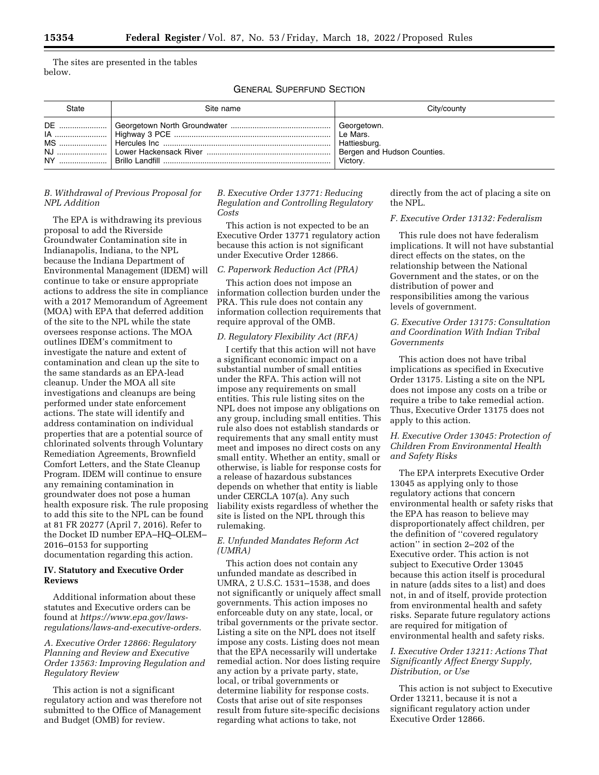The sites are presented in the tables below.

GENERAL SUPERFUND SECTION

| <b>State</b> | Site name | City/county                                             |
|--------------|-----------|---------------------------------------------------------|
|              |           | Hattiesburg.<br>Bergen and Hudson Counties.<br>Victory. |

# *B. Withdrawal of Previous Proposal for NPL Addition*

The EPA is withdrawing its previous proposal to add the Riverside Groundwater Contamination site in Indianapolis, Indiana, to the NPL because the Indiana Department of Environmental Management (IDEM) will continue to take or ensure appropriate actions to address the site in compliance with a 2017 Memorandum of Agreement (MOA) with EPA that deferred addition of the site to the NPL while the state oversees response actions. The MOA outlines IDEM's commitment to investigate the nature and extent of contamination and clean up the site to the same standards as an EPA-lead cleanup. Under the MOA all site investigations and cleanups are being performed under state enforcement actions. The state will identify and address contamination on individual properties that are a potential source of chlorinated solvents through Voluntary Remediation Agreements, Brownfield Comfort Letters, and the State Cleanup Program. IDEM will continue to ensure any remaining contamination in groundwater does not pose a human health exposure risk. The rule proposing to add this site to the NPL can be found at 81 FR 20277 (April 7, 2016). Refer to the Docket ID number EPA–HQ–OLEM– 2016–0153 for supporting documentation regarding this action.

## **IV. Statutory and Executive Order Reviews**

Additional information about these statutes and Executive orders can be found at *[https://www.epa.gov/laws](https://www.epa.gov/laws-regulations/laws-and-executive-orders)[regulations/laws-and-executive-orders.](https://www.epa.gov/laws-regulations/laws-and-executive-orders)* 

# *A. Executive Order 12866: Regulatory Planning and Review and Executive Order 13563: Improving Regulation and Regulatory Review*

This action is not a significant regulatory action and was therefore not submitted to the Office of Management and Budget (OMB) for review.

*B. Executive Order 13771: Reducing Regulation and Controlling Regulatory Costs* 

This action is not expected to be an Executive Order 13771 regulatory action because this action is not significant under Executive Order 12866.

### *C. Paperwork Reduction Act (PRA)*

This action does not impose an information collection burden under the PRA. This rule does not contain any information collection requirements that require approval of the OMB.

## *D. Regulatory Flexibility Act (RFA)*

I certify that this action will not have a significant economic impact on a substantial number of small entities under the RFA. This action will not impose any requirements on small entities. This rule listing sites on the NPL does not impose any obligations on any group, including small entities. This rule also does not establish standards or requirements that any small entity must meet and imposes no direct costs on any small entity. Whether an entity, small or otherwise, is liable for response costs for a release of hazardous substances depends on whether that entity is liable under CERCLA 107(a). Any such liability exists regardless of whether the site is listed on the NPL through this rulemaking.

## *E. Unfunded Mandates Reform Act (UMRA)*

This action does not contain any unfunded mandate as described in UMRA, 2 U.S.C. 1531–1538, and does not significantly or uniquely affect small governments. This action imposes no enforceable duty on any state, local, or tribal governments or the private sector. Listing a site on the NPL does not itself impose any costs. Listing does not mean that the EPA necessarily will undertake remedial action. Nor does listing require any action by a private party, state, local, or tribal governments or determine liability for response costs. Costs that arise out of site responses result from future site-specific decisions regarding what actions to take, not

directly from the act of placing a site on the NPL.

### *F. Executive Order 13132: Federalism*

This rule does not have federalism implications. It will not have substantial direct effects on the states, on the relationship between the National Government and the states, or on the distribution of power and responsibilities among the various levels of government.

# *G. Executive Order 13175: Consultation and Coordination With Indian Tribal Governments*

This action does not have tribal implications as specified in Executive Order 13175. Listing a site on the NPL does not impose any costs on a tribe or require a tribe to take remedial action. Thus, Executive Order 13175 does not apply to this action.

# *H. Executive Order 13045: Protection of Children From Environmental Health and Safety Risks*

The EPA interprets Executive Order 13045 as applying only to those regulatory actions that concern environmental health or safety risks that the EPA has reason to believe may disproportionately affect children, per the definition of ''covered regulatory action'' in section 2–202 of the Executive order. This action is not subject to Executive Order 13045 because this action itself is procedural in nature (adds sites to a list) and does not, in and of itself, provide protection from environmental health and safety risks. Separate future regulatory actions are required for mitigation of environmental health and safety risks.

# *I. Executive Order 13211: Actions That Significantly Affect Energy Supply, Distribution, or Use*

This action is not subject to Executive Order 13211, because it is not a significant regulatory action under Executive Order 12866.